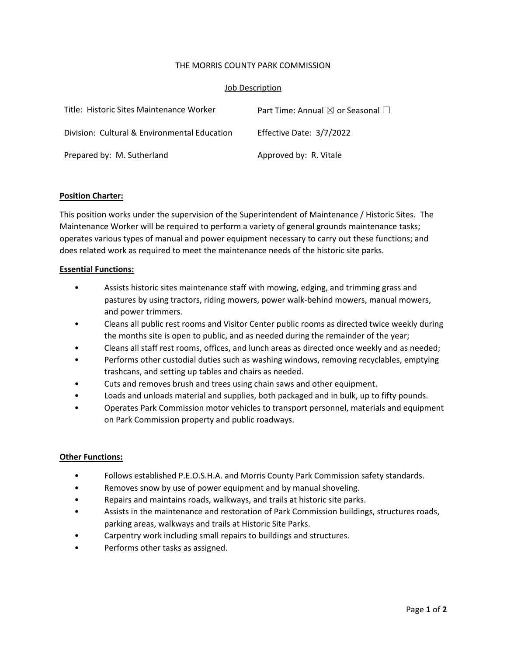## THE MORRIS COUNTY PARK COMMISSION

## Job Description

| Title: Historic Sites Maintenance Worker     | Part Time: Annual $\boxtimes$ or Seasonal $\Box$ |
|----------------------------------------------|--------------------------------------------------|
| Division: Cultural & Environmental Education | Effective Date: 3/7/2022                         |
| Prepared by: M. Sutherland                   | Approved by: R. Vitale                           |

### **Position Charter:**

This position works under the supervision of the Superintendent of Maintenance / Historic Sites. The Maintenance Worker will be required to perform a variety of general grounds maintenance tasks; operates various types of manual and power equipment necessary to carry out these functions; and does related work as required to meet the maintenance needs of the historic site parks.

### **Essential Functions:**

- Assists historic sites maintenance staff with mowing, edging, and trimming grass and pastures by using tractors, riding mowers, power walk‐behind mowers, manual mowers, and power trimmers.
- Cleans all public rest rooms and Visitor Center public rooms as directed twice weekly during the months site is open to public, and as needed during the remainder of the year;
- Cleans all staff rest rooms, offices, and lunch areas as directed once weekly and as needed;
- Performs other custodial duties such as washing windows, removing recyclables, emptying trashcans, and setting up tables and chairs as needed.
- Cuts and removes brush and trees using chain saws and other equipment.
- Loads and unloads material and supplies, both packaged and in bulk, up to fifty pounds.
- Operates Park Commission motor vehicles to transport personnel, materials and equipment on Park Commission property and public roadways.

### **Other Functions:**

- Follows established P.E.O.S.H.A. and Morris County Park Commission safety standards.
- Removes snow by use of power equipment and by manual shoveling.
- Repairs and maintains roads, walkways, and trails at historic site parks.
- Assists in the maintenance and restoration of Park Commission buildings, structures roads, parking areas, walkways and trails at Historic Site Parks.
- Carpentry work including small repairs to buildings and structures.
- Performs other tasks as assigned.